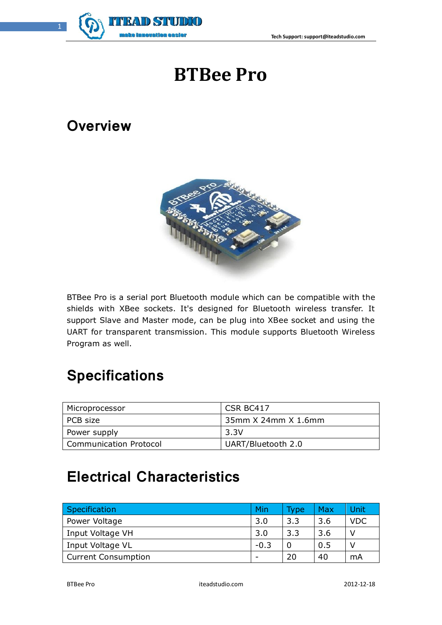

# **BTBee Pro**

### **Overview**



BTBee Pro is a serial port Bluetooth module which can be compatible with the shields with XBee sockets. It's designed for Bluetooth wireless transfer. It support Slave and Master mode, can be plug into XBee socket and using the UART for transparent transmission. This module supports Bluetooth Wireless Program as well.

# **Specifications**

| Microprocessor         | CSR BC417           |
|------------------------|---------------------|
| PCB size               | 35mm X 24mm X 1.6mm |
| Power supply           | 3.3V                |
| Communication Protocol | UART/Bluetooth 2.0  |

# **Electrical Characteristics**

| Specification              | Min    | <b>Type</b> | Max | Unit       |
|----------------------------|--------|-------------|-----|------------|
| Power Voltage              | 3.0    | 3.3         | 3.6 | <b>VDC</b> |
| Input Voltage VH           | 3.0    | 3.3         | 3.6 | ν          |
| Input Voltage VL           | $-0.3$ |             | 0.5 |            |
| <b>Current Consumption</b> |        | 20          | 40  | mA         |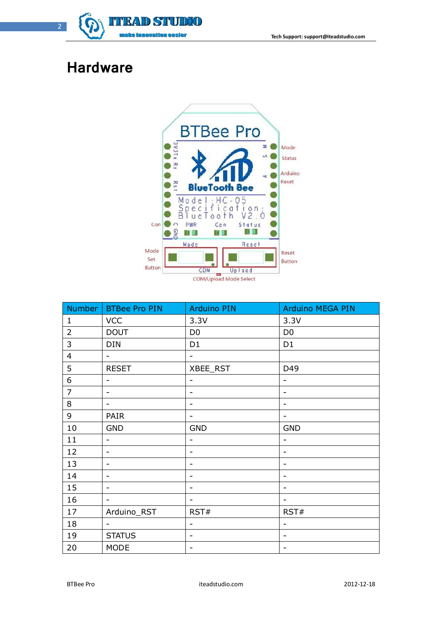

### **Hardware**



| Number         | <b>BTBee Pro PIN</b>         | <b>Arduino PIN</b>           | <b>Arduino MEGA PIN</b>      |
|----------------|------------------------------|------------------------------|------------------------------|
| $\mathbf{1}$   | <b>VCC</b>                   | 3.3V                         | 3.3V                         |
| $\overline{2}$ | <b>DOUT</b>                  | D <sub>0</sub>               | D <sub>0</sub>               |
| 3              | <b>DIN</b>                   | D <sub>1</sub>               | D <sub>1</sub>               |
| $\overline{4}$ | $\overline{\phantom{0}}$     | $\blacksquare$               |                              |
| 5              | <b>RESET</b>                 | XBEE_RST                     | D49                          |
| 6              | $\qquad \qquad -$            | $\qquad \qquad \blacksquare$ | $\overline{\phantom{a}}$     |
| $\overline{7}$ | $\overline{\phantom{0}}$     | $\qquad \qquad \blacksquare$ | $\qquad \qquad \blacksquare$ |
| 8              | $\qquad \qquad \blacksquare$ | $\qquad \qquad \blacksquare$ | $\overline{\phantom{a}}$     |
| 9              | PAIR                         | $\qquad \qquad \blacksquare$ | $\overline{\phantom{a}}$     |
| $10\,$         | <b>GND</b>                   | <b>GND</b>                   | <b>GND</b>                   |
| 11             | $\overline{\phantom{0}}$     | $\overline{\phantom{a}}$     | $\overline{\phantom{a}}$     |
| 12             | $\overline{\phantom{0}}$     | $\overline{\phantom{a}}$     | $\overline{\phantom{a}}$     |
| 13             | $\overline{\phantom{m}}$     | $\overline{\phantom{a}}$     | $\blacksquare$               |
| 14             | $\overline{\phantom{m}}$     | $\qquad \qquad \blacksquare$ | $\blacksquare$               |
| 15             | $\qquad \qquad \blacksquare$ | $\qquad \qquad \blacksquare$ | $\overline{\phantom{a}}$     |
| 16             | $\overline{\phantom{0}}$     | $\overline{\phantom{a}}$     | $\overline{\phantom{a}}$     |
| 17             | Arduino_RST                  | RST#                         | RST#                         |
| 18             | $\blacksquare$               | $\overline{\phantom{a}}$     | $\blacksquare$               |
| 19             | <b>STATUS</b>                | $\overline{\phantom{a}}$     | $\overline{\phantom{a}}$     |
| 20             | <b>MODE</b>                  | $\qquad \qquad \blacksquare$ | $\blacksquare$               |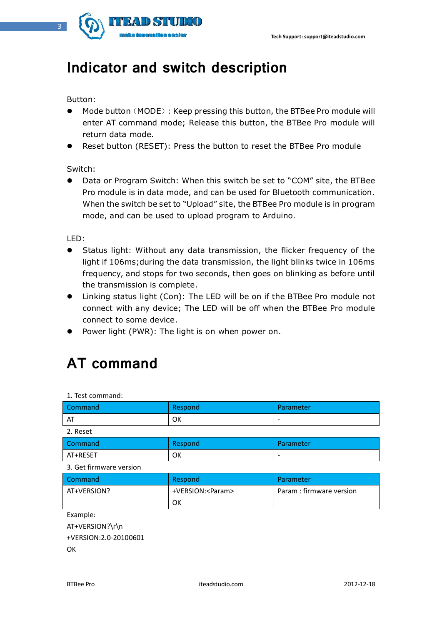

### **Indicator and switch description**

Button:

- Mode button (MODE): Keep pressing this button, the BTBee Pro module will enter AT command mode; Release this button, the BTBee Pro module will return data mode.
- Reset button (RESET): Press the button to reset the BTBee Pro module

Switch:

 Data or Program Switch: When this switch be set to "COM" site, the BTBee Pro module is in data mode, and can be used for Bluetooth communication. When the switch be set to "Upload" site, the BTBee Pro module is in program mode, and can be used to upload program to Arduino.

LED:

- Status light: Without any data transmission, the flicker frequency of the light if 106ms;during the data transmission, the light blinks twice in 106ms frequency, and stops for two seconds, then goes on blinking as before until the transmission is complete.
- Linking status light (Con): The LED will be on if the BTBee Pro module not connect with any device; The LED will be off when the BTBee Pro module connect to some device.
- Power light (PWR): The light is on when power on.

## **AT command**

| 1. Test command:        |                    |                          |
|-------------------------|--------------------|--------------------------|
| Command                 | Respond            | Parameter                |
| AT                      | <b>OK</b>          | $\overline{\phantom{a}}$ |
| 2. Reset                |                    |                          |
| Command                 | Respond            | Parameter                |
| AT+RESET                | <b>OK</b>          |                          |
| 3. Get firmware version |                    |                          |
|                         |                    |                          |
| Command                 | Respond            | Parameter                |
| AT+VERSION?             | +VERSION: <param/> | Param : firmware version |
|                         | 0K                 |                          |
| Example:                |                    |                          |
| AT+VERSION?\r\n         |                    |                          |
| +VERSION:2.0-20100601   |                    |                          |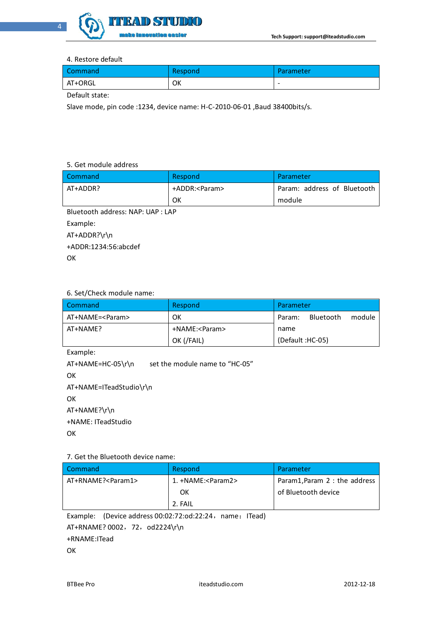

#### 4. Restore default

| Command | Respond | <b>Parameter</b> |
|---------|---------|------------------|
| AT+ORGL | OK      | -                |

Default state:

Slave mode, pin code :1234, device name: H-C-2010-06-01 ,Baud 38400bits/s.

#### 5. Get module address

| Command                           | Respond         | Parameter                   |  |
|-----------------------------------|-----------------|-----------------------------|--|
| AT+ADDR?                          | +ADDR: <param/> | Param: address of Bluetooth |  |
|                                   | OK              | module                      |  |
| Bluetooth address: NAP: UAP : LAP |                 |                             |  |
| Example:                          |                 |                             |  |

AT+ADDR?\r\n

+ADDR:1234:56:abcdef

**OK** 

#### 6. Set/Check module name:

| Command           | Respond         | Parameter                     |
|-------------------|-----------------|-------------------------------|
| AT+NAME= <param/> | OK              | module<br>Bluetooth<br>Param: |
| AT+NAME?          | +NAME: <param/> | name                          |
|                   | OK (/FAIL)      | (Default:HC-05)               |

Example:

AT+NAME=HC-05\r\n set the module name to "HC-05" **OK** AT+NAME=ITeadStudio\r\n **OK** AT+NAME?\r\n +NAME: ITeadStudio **OK** 

#### 7. Get the Bluetooth device name:

| 1 Command                   | Respond                     | Parameter                     |
|-----------------------------|-----------------------------|-------------------------------|
| AT+RNAME? <param1></param1> | 1. +NAME: <param2></param2> | Param1, Param 2 : the address |
|                             | OK                          | of Bluetooth device           |
|                             | 2. FAIL                     |                               |

Example: (Device address 00:02:72:od:22:24, name: ITead)

AT+RNAME? 0002, 72, od2224\r\n

+RNAME:ITead

**OK**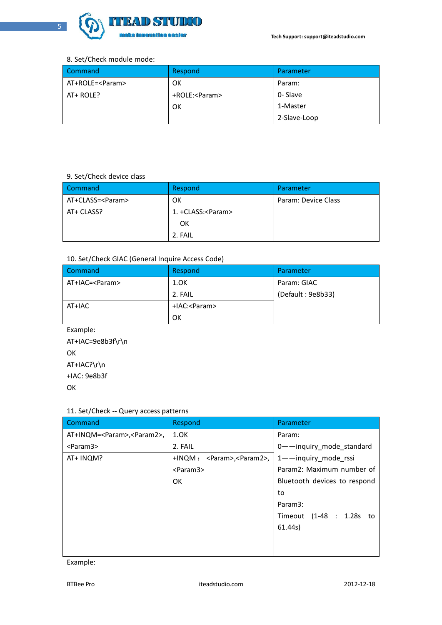

#### 8. Set/Check module mode:

| Command           | Respond         | Parameter    |
|-------------------|-----------------|--------------|
| AT+ROLE= <param/> | OK              | Param:       |
| AT+ ROLE?         | +ROLE: <param/> | 0- Slave     |
|                   | OK              | 1-Master     |
|                   |                 | 2-Slave-Loop |

#### 9. Set/Check device class

| Command            | Respond             | Parameter           |
|--------------------|---------------------|---------------------|
| AT+CLASS= <param/> | ОК                  | Param: Device Class |
| AT+ CLASS?         | 1. +CLASS: <param/> |                     |
|                    | OK                  |                     |
|                    | 2. FAIL             |                     |

#### 10. Set/Check GIAC (General Inquire Access Code)

| Command          | Respond        | Parameter         |
|------------------|----------------|-------------------|
| AT+IAC= <param/> | 1.0K           | Param: GIAC       |
|                  | 2. FAIL        | (Default: 9e8b33) |
| AT+IAC           | +IAC: <param/> |                   |
|                  | OK             |                   |

Example: AT+IAC=9e8b3f\r\n OK AT+IAC?\r\n +IAC: 9e8b3f **OK** 

#### 11. Set/Check -- Query access patterns

| Command                                | Respond                              | Parameter                    |
|----------------------------------------|--------------------------------------|------------------------------|
| AT+INQM= <param/> , <param2>,</param2> | 1.0K                                 | Param:                       |
| <param3></param3>                      | 2. FAIL                              | 0--inquiry mode standard     |
| AT+ INQM?                              | +INQM: <param/> , <param2>,</param2> | 1--inquiry_mode_rssi         |
|                                        | $<$ Param $3$ >                      | Param2: Maximum number of    |
|                                        | <b>OK</b>                            | Bluetooth devices to respond |
|                                        |                                      | to                           |
|                                        |                                      | Param3:                      |
|                                        |                                      | Timeout (1-48 : 1.28s to     |
|                                        |                                      | 61.44s                       |
|                                        |                                      |                              |
|                                        |                                      |                              |

Example: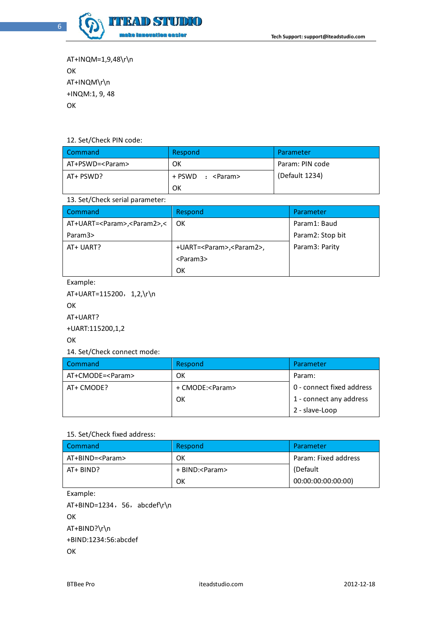

AT+INQM=1,9,48\r\n **OK** AT+INQM\r\n +INQM:1, 9, 48 OK

#### 12. Set/Check PIN code:

| Command           | Respond              | Parameter       |
|-------------------|----------------------|-----------------|
| AT+PSWD= <param/> | OK                   | Param: PIN code |
| AT+ PSWD?         | + PSWD<br>: <param/> | (Default 1234)  |
|                   | OK                   |                 |

#### 13. Set/Check serial parameter:

| Command                                    | Respond                              | Parameter        |
|--------------------------------------------|--------------------------------------|------------------|
| AT+UART= <param/> , <param2>,&lt;</param2> | OK.                                  | Param1: Baud     |
| Param3>                                    |                                      | Param2: Stop bit |
| AT+ UART?                                  | +UART= <param/> , <param2>,</param2> | Param3: Parity   |
|                                            | $<$ Param $3$ >                      |                  |
|                                            | ок                                   |                  |

#### Example:

AT+UART=115200, 1,2,\r\n **OK** AT+UART? +UART:115200,1,2 **OK** 14. Set/Check connect mode:

| <b>Command</b>     | Respond           | Parameter                 |
|--------------------|-------------------|---------------------------|
| AT+CMODE= <param/> | ОΚ                | Param:                    |
| AT+ CMODE?         | + CMODE: <param/> | 0 - connect fixed address |
|                    | OK                | 1 - connect any address   |
|                    |                   | 2 - slave-Loop            |

#### 15. Set/Check fixed address:

| Command           | Respond          | Parameter            |
|-------------------|------------------|----------------------|
| AT+BIND= <param/> | ОΚ               | Param: Fixed address |
| AT+ BIND?         | + BIND: <param/> | (Default)            |
|                   | OK               | 00:00:00:00:00:00)   |

```
Example:
```
AT+BIND=1234, 56, abcdef\r\n **OK** AT+BIND?\r\n +BIND:1234:56:abcdef **OK**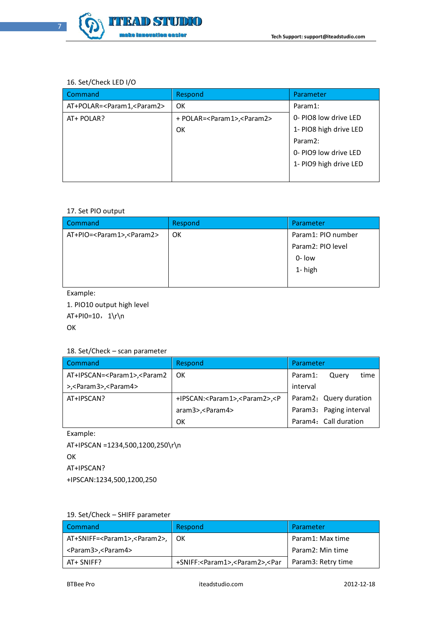

#### 16. Set/Check LED I/O

| Command                                     | Respond                                      | Parameter              |
|---------------------------------------------|----------------------------------------------|------------------------|
| AT+POLAR= <param1,<param2></param1,<param2> | <b>OK</b>                                    | Param1:                |
| AT+ POLAR?                                  | + POLAR= <param1>,<param2></param2></param1> | 0- PIO8 low drive LED  |
|                                             | OK                                           | 1- PIO8 high drive LED |
|                                             |                                              | Param <sub>2:</sub>    |
|                                             |                                              | 0- PIO9 low drive LED  |
|                                             |                                              | 1- PIO9 high drive LED |
|                                             |                                              |                        |

#### 17. Set PIO output

| Command                                     | Respond | Parameter          |
|---------------------------------------------|---------|--------------------|
| AT+PIO= <param1>,<param2></param2></param1> | OK      | Param1: PIO number |
|                                             |         | Param2: PIO level  |
|                                             |         | $0 -$ low          |
|                                             |         | 1-high             |
|                                             |         |                    |

Example:

1. PIO10 output high level

 $AT+PI0=10, 1\r\n$ 

OK

#### 18. Set/Check – scan parameter

| Command                                                                                              | Respond                                                                                     | Parameter                |
|------------------------------------------------------------------------------------------------------|---------------------------------------------------------------------------------------------|--------------------------|
| AT+IPSCAN= <param1>,<param2< td=""><td>OK</td><td>time<br/>Param1:<br/>Querv</td></param2<></param1> | OK                                                                                          | time<br>Param1:<br>Querv |
| >, <param3>,<param4></param4></param3>                                                               |                                                                                             | interval                 |
| AT+IPSCAN?                                                                                           | +IPSCAN: <param1>,<param2>,<p< td=""><td>Param2: Query duration</td></p<></param2></param1> | Param2: Query duration   |
|                                                                                                      | aram3>, < Param4>                                                                           | Param3: Paging interval  |
|                                                                                                      | OK                                                                                          | Param4: Call duration    |

Example: AT+IPSCAN =1234,500,1200,250\r\n **OK** AT+IPSCAN? +IPSCAN:1234,500,1200,250

#### 19. Set/Check – SHIFF parameter

| Command                                             | Respond                                                                                    | Parameter          |
|-----------------------------------------------------|--------------------------------------------------------------------------------------------|--------------------|
| AT+SNIFF= <param1>,<param2>,   OK</param2></param1> |                                                                                            | Param1: Max time   |
| <param3>,<param4></param4></param3>                 |                                                                                            | Param2: Min time   |
| AT+ SNIFF?                                          | +SNIFF: <param1>,<param2>,<par< td=""><td>Param3: Retry time</td></par<></param2></param1> | Param3: Retry time |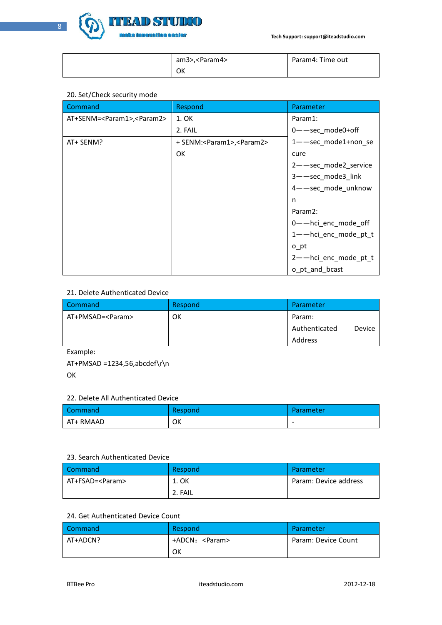

| am3>, <param4></param4> | Param4: Time out |
|-------------------------|------------------|
| ОК                      |                  |

#### 20. Set/Check security mode

| Command                                      | Respond                                     | Parameter                      |
|----------------------------------------------|---------------------------------------------|--------------------------------|
| AT+SENM= <param1>,<param2></param2></param1> | 1. OK                                       | Param1:                        |
|                                              | 2. FAIL                                     | 0-Sec_mode0+off                |
| AT+ SENM?                                    | + SENM: <param1>,<param2></param2></param1> | $1$ — $-$ sec mode $1$ +non se |
|                                              | 0K                                          | cure                           |
|                                              |                                             | 2-Sec_mode2_service            |
|                                              |                                             | 3--sec_mode3_link              |
|                                              |                                             | 4--sec_mode_unknow             |
|                                              |                                             | n                              |
|                                              |                                             | Param <sub>2:</sub>            |
|                                              |                                             | 0-hci_enc_mode_off             |
|                                              |                                             | 1--hci_enc_mode_pt_t           |
|                                              |                                             | o pt                           |
|                                              |                                             | 2-hci_enc_mode_pt_t            |
|                                              |                                             | o_pt_and_bcast                 |

#### 21. Delete Authenticated Device

| Command            | Respond | Parameter               |
|--------------------|---------|-------------------------|
| AT+PMSAD= <param/> | OK      | Param:                  |
|                    |         | Authenticated<br>Device |
|                    |         | Address                 |

Example:

AT+PMSAD =1234,56,abcdef\r\n

**OK** 

#### 22. Delete All Authenticated Device

| Command   | Respond | Parameter |
|-----------|---------|-----------|
| AT+ RMAAD | ОК      | $\sim$    |

#### 23. Search Authenticated Device

| Command           | Respond | Parameter             |
|-------------------|---------|-----------------------|
| AT+FSAD= <param/> | 1. OK   | Param: Device address |
|                   | 2. FAIL |                       |

#### 24. Get Authenticated Device Count

| Command  | Respond         | Parameter           |
|----------|-----------------|---------------------|
| AT+ADCN? | +ADCN: <param/> | Param: Device Count |
|          | ок              |                     |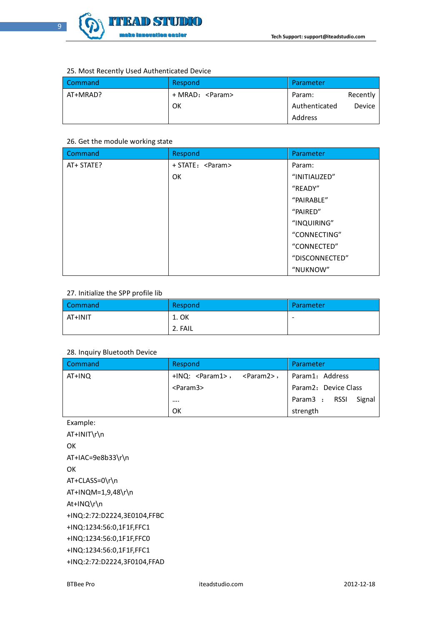

#### 25. Most Recently Used Authenticated Device

| Command  | Respond          | Parameter     |          |
|----------|------------------|---------------|----------|
| AT+MRAD? | + MRAD: <param/> | Param:        | Recently |
|          | OK               | Authenticated | Device   |
|          |                  | Address       |          |

#### 26. Get the module working state

| Command    | Respond           | Parameter      |
|------------|-------------------|----------------|
| AT+ STATE? | + STATE: <param/> | Param:         |
|            | OK                | "INITIALIZED"  |
|            |                   | "READY"        |
|            |                   | "PAIRABLE"     |
|            |                   | "PAIRED"       |
|            |                   | "INQUIRING"    |
|            |                   | "CONNECTING"   |
|            |                   | "CONNECTED"    |
|            |                   | "DISCONNECTED" |
|            |                   | "NUKNOW"       |

#### 27. Initialize the SPP profile lib

| Command | Respond | Parameter                |
|---------|---------|--------------------------|
| AT+INIT | 1. OK   | $\overline{\phantom{a}}$ |
|         | 2. FAIL |                          |

#### 28. Inquiry Bluetooth Device

| Command | Respond                            | Parameter            |
|---------|------------------------------------|----------------------|
| AT+INQ  | $+IMQ$ : $<$ Param1>, $<$ Param2>, | Param1: Address      |
|         | <param3></param3>                  | Param2: Device Class |
|         |                                    | Param3 : RSSI Signal |
|         | OK                                 | strength             |

Example:

AT+INIT\r\n **OK** AT+IAC=9e8b33\r\n **OK** AT+CLASS=0\r\n AT+INQM=1,9,48\r\n At+INQ\r\n +INQ:2:72:D2224,3E0104,FFBC +INQ:1234:56:0,1F1F,FFC1 +INQ:1234:56:0,1F1F,FFC0 +INQ:1234:56:0,1F1F,FFC1 +INQ:2:72:D2224,3F0104,FFAD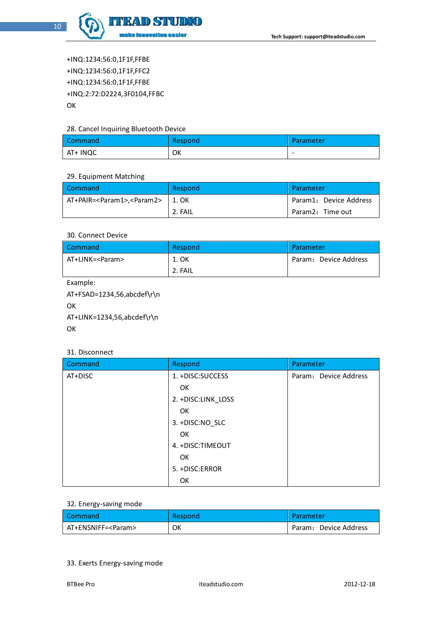

+INQ:1234:56:0,1F1F,FFBE +INQ:1234:56:0,1F1F,FFC2 +INQ:1234:56:0,1F1F,FFBE +INQ:2:72:D2224,3F0104,FFBC OK

#### 28. Cancel Inquiring Bluetooth Device

| Command  | Respond | Parameter |
|----------|---------|-----------|
| AT+ INQC | OK      | $\sim$    |

#### 29. Equipment Matching

| <b>Command</b>                               | Respond | Parameter              |
|----------------------------------------------|---------|------------------------|
| AT+PAIR= <param1>,<param2></param2></param1> | 1. OK   | Param1: Device Address |
|                                              | 2. FAIL | Param2: Time out       |

#### 30. Connect Device

| Command           | Respond | Parameter             |
|-------------------|---------|-----------------------|
| AT+LINK= <param/> | 1. OK   | Param: Device Address |
|                   | 2. FAIL |                       |

Example:

AT+FSAD=1234,56,abcdef\r\n **OK** AT+LINK=1234,56,abcdef\r\n OK

#### 31. Disconnect

| Command | Respond            | Parameter.            |
|---------|--------------------|-----------------------|
| AT+DISC | 1. +DISC:SUCCESS   | Param: Device Address |
|         | OK                 |                       |
|         | 2. +DISC:LINK_LOSS |                       |
|         | OK                 |                       |
|         | 3. +DISC:NO SLC    |                       |
|         | OK                 |                       |
|         | 4. +DISC:TIMEOUT   |                       |
|         | OK                 |                       |
|         | 5. +DISC:ERROR     |                       |
|         | OK                 |                       |

#### 32. Energy-saving mode

| l Command            | Respond | Parameter             |
|----------------------|---------|-----------------------|
| AT+ENSNIFF= <param/> | ок      | Param: Device Address |

#### 33. Exerts Energy-saving mode